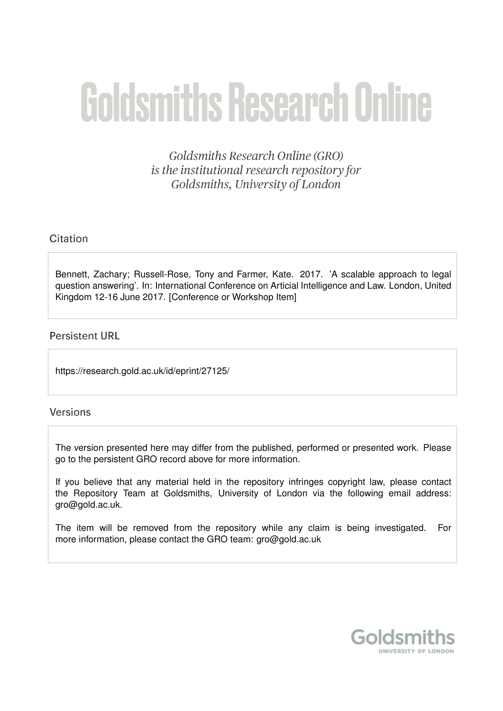# Goldsmiths Research Online

Goldsmiths Research Online (GRO) is the institutional research repository for Goldsmiths, University of London

# Citation

Bennett, Zachary; Russell-Rose, Tony and Farmer, Kate. 2017. 'A scalable approach to legal question answering'. In: International Conference on Articial Intelligence and Law. London, United Kingdom 12-16 June 2017. [Conference or Workshop Item]

## **Persistent URL**

https://research.gold.ac.uk/id/eprint/27125/

### **Versions**

The version presented here may differ from the published, performed or presented work. Please go to the persistent GRO record above for more information.

If you believe that any material held in the repository infringes copyright law, please contact the Repository Team at Goldsmiths, University of London via the following email address: gro@gold.ac.uk.

The item will be removed from the repository while any claim is being investigated. For more information, please contact the GRO team: gro@gold.ac.uk

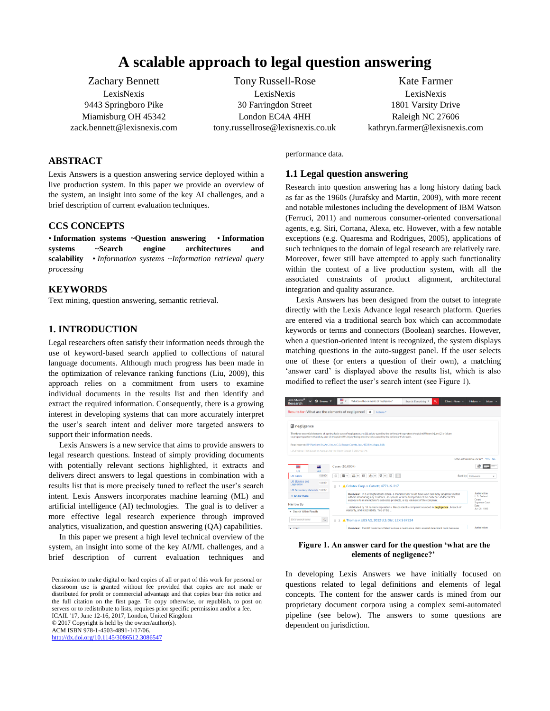# **A scalable approach to legal question answering**

Zachary Bennett LexisNexis 9443 Springboro Pike Miamisburg OH 45342 zack.bennett@lexisnexis.com

Tony Russell-Rose LexisNexis 30 Farringdon Street London EC4A 4HH tony.russellrose@lexisnexis.co.uk

Kate Farmer LexisNexis 1801 Varsity Drive Raleigh NC 27606 kathryn.farmer@lexisnexis.com

#### **ABSTRACT**

Lexis Answers is a question answering service deployed within a live production system. In this paper we provide an overview of the system, an insight into some of the key AI challenges, and a brief description of current evaluation techniques.

#### **CCS CONCEPTS**

• **Information systems ~Question answering** • **Information systems ~Search engine architectures and scalability** • *Information systems ~Information retrieval query processing*

#### **KEYWORDS**

Text mining, question answering, semantic retrieval.

#### **1. INTRODUCTION**

Legal researchers often satisfy their information needs through the use of keyword-based search applied to collections of natural language documents. Although much progress has been made in the optimization of relevance ranking functions (Liu, 2009), this approach relies on a commitment from users to examine individual documents in the results list and then identify and extract the required information. Consequently, there is a growing interest in developing systems that can more accurately interpret the user's search intent and deliver more targeted answers to support their information needs.

Lexis Answers is a new service that aims to provide answers to legal research questions. Instead of simply providing documents with potentially relevant sections highlighted, it extracts and delivers direct answers to legal questions in combination with a results list that is more precisely tuned to reflect the user's search intent. Lexis Answers incorporates machine learning (ML) and artificial intelligence (AI) technologies. The goal is to deliver a more effective legal research experience through improved analytics, visualization, and question answering (QA) capabilities.

In this paper we present a high level technical overview of the system, an insight into some of the key AI/ML challenges, and a brief description of current evaluation techniques and

Permission to make digital or hard copies of all or part of this work for personal or classroom use is granted without fee provided that copies are not made or distributed for profit or commercial advantage and that copies bear this notice and the full citation on the first page. To copy otherwise, or republish, to post on servers or to redistribute to lists, requires prior specific permission and/or a fee. ICAIL '17, June 12-16, 2017, London, United Kingdom © 2017 Copyright is held by the owner/author(s). ACM ISBN 978-1-4503-4891-1/17/06. <http://dx.doi.org/10.1145/3086512.3086547>

performance data.

#### **1.1 Legal question answering**

Research into question answering has a long history dating back as far as the 1960s (Jurafsky and Martin, 2009), with more recent and notable milestones including the development of IBM Watson (Ferruci, 2011) and numerous consumer-oriented conversational agents, e.g. Siri, Cortana, Alexa, etc. However, with a few notable exceptions (e.g. Quaresma and Rodrigues, 2005), applications of such techniques to the domain of legal research are relatively rare. Moreover, fewer still have attempted to apply such functionality within the context of a live production system, with all the associated constraints of product alignment, architectural integration and quality assurance.

Lexis Answers has been designed from the outset to integrate directly with the Lexis Advance legal research platform. Queries are entered via a traditional search box which can accommodate keywords or terms and connectors (Boolean) searches. However, when a question-oriented intent is recognized, the system displays matching questions in the auto-suggest panel. If the user selects one of these (or enters a question of their own), a matching 'answer card' is displayed above the results list, which is also modified to reflect the user's search intent (see Figure 1).

| Lexis Advance <sup>®</sup><br>$\checkmark$<br><b>Research</b>                                                     | 69 Browne v      | <b>IK</b>                                                                                                                                                                                                                                                                  |                                                                                                 | What are the elements of negligence?                       |  | Search: Everything                                                                                                                                         | Q                       | Client: None - - | History *                                                     | More. |
|-------------------------------------------------------------------------------------------------------------------|------------------|----------------------------------------------------------------------------------------------------------------------------------------------------------------------------------------------------------------------------------------------------------------------------|-------------------------------------------------------------------------------------------------|------------------------------------------------------------|--|------------------------------------------------------------------------------------------------------------------------------------------------------------|-------------------------|------------------|---------------------------------------------------------------|-------|
| Results for: What are the elements of negligence? 4   Actions *                                                   |                  |                                                                                                                                                                                                                                                                            |                                                                                                 |                                                            |  |                                                                                                                                                            |                         |                  |                                                               |       |
| <b>I</b> negligence                                                                                               |                  |                                                                                                                                                                                                                                                                            |                                                                                                 |                                                            |  |                                                                                                                                                            |                         |                  |                                                               |       |
| to properly perform that duty, and (3) the plaintiff's injury being proximately caused by the defendant's breach. |                  |                                                                                                                                                                                                                                                                            |                                                                                                 |                                                            |  | The three essential elements of a prima facie case of negligence are: (1) a duty owed by the defendant to protect the plaintiff from injury. (2) a failure |                         |                  |                                                               |       |
| Read more at: BP Pipelines (N. Am.) Inc. v. C.D. Brown Constr., Inc., 473 Fed. Appx. 818                          |                  |                                                                                                                                                                                                                                                                            |                                                                                                 |                                                            |  |                                                                                                                                                            |                         |                  |                                                               |       |
| U.S. Federal   US Court of Appeals for the Tenth Circuit   2012-03-26                                             |                  |                                                                                                                                                                                                                                                                            |                                                                                                 |                                                            |  |                                                                                                                                                            |                         |                  |                                                               |       |
|                                                                                                                   |                  |                                                                                                                                                                                                                                                                            |                                                                                                 |                                                            |  |                                                                                                                                                            |                         |                  | Is this information useful? Yes No.                           |       |
| u.                                                                                                                | Cases (10,000+)  |                                                                                                                                                                                                                                                                            |                                                                                                 |                                                            |  |                                                                                                                                                            |                         |                  |                                                               |       |
| <b>US</b><br><b>US Cases</b>                                                                                      | AU<br>$10.000 -$ |                                                                                                                                                                                                                                                                            |                                                                                                 |                                                            |  |                                                                                                                                                            | Sort by: Relevance<br>٠ |                  |                                                               |       |
| <b>US Statutes and</b><br>Legislation                                                                             | $10.000 +$       |                                                                                                                                                                                                                                                                            |                                                                                                 |                                                            |  |                                                                                                                                                            |                         |                  |                                                               |       |
| US Secondary Materials 10,000+                                                                                    |                  | 1. Celotex Corp. v. Catrett, 477 U.S. 317<br>$\Box$                                                                                                                                                                                                                        |                                                                                                 |                                                            |  |                                                                                                                                                            |                         |                  |                                                               |       |
| <b><math>×</math> Show more</b>                                                                                   |                  | Overview: In a wrongful death action, a manufacturer could have won summary judgment motion<br>without introducing any evidence, as spouse of decedent produced no evidence of decedent's<br>exposure to manufacturer's asbestos products, a key element of the complaint. |                                                                                                 |                                                            |  |                                                                                                                                                            |                         |                  | Jurisdiction<br><b>U.S. Federal</b><br>Court<br>Supreme Court |       |
| Narrow By<br>- Search Within Results                                                                              |                  |                                                                                                                                                                                                                                                                            |                                                                                                 | warranty, and strict liability. Two of the                 |  | distributed by 15 named corporations. Respondent's complaint sounded in negligence, breach of                                                              |                         |                  | Date<br>Jun 25, 1986                                          |       |
| <b>Enter search terms</b>                                                                                         | $\mathbb Q$      |                                                                                                                                                                                                                                                                            |                                                                                                 | ■ 2 <b>A</b> Thomas v. UBS AG, 2012 U.S. Dist. LEXIS 87224 |  |                                                                                                                                                            |                         |                  |                                                               |       |
| $\triangleright$ Court                                                                                            |                  |                                                                                                                                                                                                                                                                            | Overview: Plaintiff customers failed to state a negligence claim against defendant bank because |                                                            |  |                                                                                                                                                            |                         |                  | <b>Jurisdiction</b>                                           |       |

#### **Figure 1. An answer card for the question 'what are the elements of negligence?'**

In developing Lexis Answers we have initially focused on questions related to legal definitions and elements of legal concepts. The content for the answer cards is mined from our proprietary document corpora using a complex semi-automated pipeline (see below). The answers to some questions are dependent on jurisdiction.